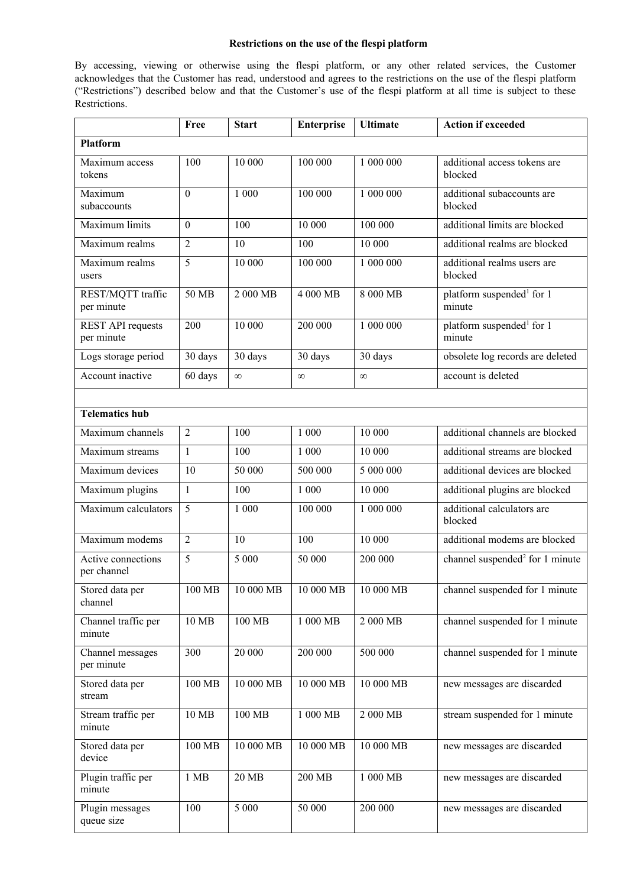## **Restrictions on the use of the flespi platform**

By accessing, viewing or otherwise using the flespi platform, or any other related services, the Customer acknowledges that the Customer has read, understood and agrees to the restrictions on the use of the flespi platform ("Restrictions") described below and that the Customer's use of the flespi platform at all time is subject to these Restrictions.

|                                        | Free           | <b>Start</b> | <b>Enterprise</b>     | <b>Ultimate</b>      | <b>Action if exceeded</b>                       |  |  |
|----------------------------------------|----------------|--------------|-----------------------|----------------------|-------------------------------------------------|--|--|
| <b>Platform</b>                        |                |              |                       |                      |                                                 |  |  |
| Maximum access<br>tokens               | 100            | 10 000       | 100 000               | 1 000 000            | additional access tokens are<br>blocked         |  |  |
| Maximum<br>subaccounts                 | $\theta$       | 1 000        | 100 000               | 1 000 000            | additional subaccounts are<br>blocked           |  |  |
| Maximum limits                         | $\theta$       | 100          | 10 000                | 100 000              | additional limits are blocked                   |  |  |
| Maximum realms                         | 2              | 10           | 100                   | 10 000               | additional realms are blocked                   |  |  |
| Maximum realms<br>users                | 5              | 10 000       | 100 000               | 1 000 000            | additional realms users are<br>blocked          |  |  |
| REST/MQTT traffic<br>per minute        | 50 MB          | 2 000 MB     | 4 000 MB              | 8 000 MB             | platform suspended <sup>1</sup> for 1<br>minute |  |  |
| <b>REST API requests</b><br>per minute | 200            | 10 000       | 200 000               | 1 000 000            | platform suspended <sup>1</sup> for 1<br>minute |  |  |
| Logs storage period                    | 30 days        | 30 days      | 30 days               | 30 days              | obsolete log records are deleted                |  |  |
| Account inactive                       | 60 days        | $\infty$     | $\infty$              | $\infty$             | account is deleted                              |  |  |
|                                        |                |              |                       |                      |                                                 |  |  |
| <b>Telematics hub</b>                  |                |              |                       |                      |                                                 |  |  |
| Maximum channels                       | 2              | 100          | 1 000                 | 10 000               | additional channels are blocked                 |  |  |
| Maximum streams                        | $\mathbf{1}$   | 100          | 1 000                 | 10 000               | additional streams are blocked                  |  |  |
| Maximum devices                        | 10             | 50 000       | 500 000               | 5 000 000            | additional devices are blocked                  |  |  |
| Maximum plugins                        | $\mathbf{1}$   | 100          | 1 000                 | 10 000               | additional plugins are blocked                  |  |  |
| Maximum calculators                    | 5              | 1 000        | 100 000               | 1 000 000            | additional calculators are<br>blocked           |  |  |
| Maximum modems                         | $\overline{2}$ | 10           | 100                   | 10 000               | additional modems are blocked                   |  |  |
| Active connections<br>per channel      | 5              | 5 000        | 50 000                | 200 000              | channel suspended <sup>2</sup> for 1 minute     |  |  |
| Stored data per<br>channel             | 100 MB         | 10 000 MB    | 10 000 MB             | 10 000 MB            | channel suspended for 1 minute                  |  |  |
| Channel traffic per<br>minute          | 10 MB          | 100 MB       | 1 000 MB              | 2 000 MB             | channel suspended for 1 minute                  |  |  |
| Channel messages<br>per minute         | 300            | 20 000       | 200 000               | 500 000              | channel suspended for 1 minute                  |  |  |
| Stored data per<br>stream              | 100 MB         | 10 000 MB    | 10 000 MB             | 10 000 MB            | new messages are discarded                      |  |  |
| Stream traffic per<br>minute           | 10 MB          | 100 MB       | $1\ 000\ \mathrm{MB}$ | $2000 \overline{MB}$ | stream suspended for 1 minute                   |  |  |
| Stored data per<br>device              | 100 MB         | 10 000 MB    | 10 000 MB             | 10 000 MB            | new messages are discarded                      |  |  |
| Plugin traffic per<br>minute           | 1 MB           | 20 MB        | 200 MB                | 1 000 MB             | new messages are discarded                      |  |  |
| Plugin messages<br>queue size          | 100            | 5 000        | 50 000                | 200 000              | new messages are discarded                      |  |  |